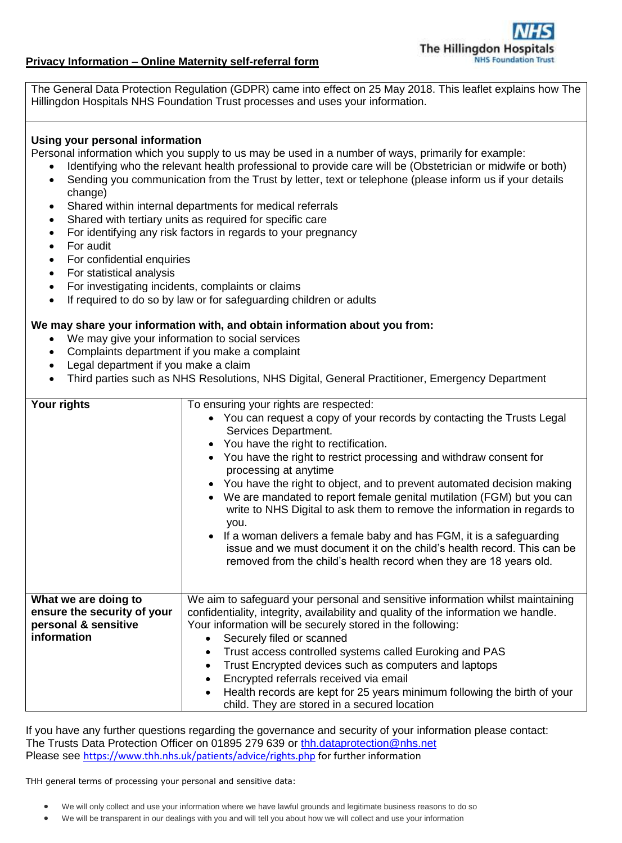

## **Privacy Information – Online Maternity self-referral form**

The General Data Protection Regulation (GDPR) came into effect on 25 May 2018. This leaflet explains how The Hillingdon Hospitals NHS Foundation Trust processes and uses your information.

## **Using your personal information**

Personal information which you supply to us may be used in a number of ways, primarily for example:

- Identifying who the relevant health professional to provide care will be (Obstetrician or midwife or both)
- Sending you communication from the Trust by letter, text or telephone (please inform us if your details change)
- Shared within internal departments for medical referrals
- Shared with tertiary units as required for specific care
- For identifying any risk factors in regards to your pregnancy
- For audit
- For confidential enquiries
- For statistical analysis
- For investigating incidents, complaints or claims
- If required to do so by law or for safeguarding children or adults

## **We may share your information with, and obtain information about you from:**

- We may give your information to social services
- Complaints department if you make a complaint
- Legal department if you make a claim
- Third parties such as NHS Resolutions, NHS Digital, General Practitioner, Emergency Department

| Your rights                 | To ensuring your rights are respected:                                                                                                                                                                                 |
|-----------------------------|------------------------------------------------------------------------------------------------------------------------------------------------------------------------------------------------------------------------|
|                             | • You can request a copy of your records by contacting the Trusts Legal<br>Services Department.<br>• You have the right to rectification.                                                                              |
|                             | You have the right to restrict processing and withdraw consent for<br>processing at anytime                                                                                                                            |
|                             | • You have the right to object, and to prevent automated decision making                                                                                                                                               |
|                             | We are mandated to report female genital mutilation (FGM) but you can<br>write to NHS Digital to ask them to remove the information in regards to<br>you.                                                              |
|                             | • If a woman delivers a female baby and has FGM, it is a safeguarding<br>issue and we must document it on the child's health record. This can be<br>removed from the child's health record when they are 18 years old. |
| What we are doing to        | We aim to safeguard your personal and sensitive information whilst maintaining                                                                                                                                         |
| ensure the security of your | confidentiality, integrity, availability and quality of the information we handle.                                                                                                                                     |
| personal & sensitive        | Your information will be securely stored in the following:                                                                                                                                                             |
| information                 | Securely filed or scanned<br>$\bullet$                                                                                                                                                                                 |
|                             | Trust access controlled systems called Euroking and PAS<br>$\bullet$                                                                                                                                                   |
|                             | Trust Encrypted devices such as computers and laptops<br>$\bullet$                                                                                                                                                     |
|                             | Encrypted referrals received via email<br>$\bullet$                                                                                                                                                                    |
|                             | Health records are kept for 25 years minimum following the birth of your<br>$\bullet$<br>child. They are stored in a secured location                                                                                  |

If you have any further questions regarding the governance and security of your information please contact: The Trusts Data Protection Officer on 01895 279 639 or [thh.dataprotection@nhs.net](mailto:thh.dataprotection@nhs.net) Please see <https://www.thh.nhs.uk/patients/advice/rights.php> for further information

THH general terms of processing your personal and sensitive data:

- We will only collect and use your information where we have lawful grounds and legitimate business reasons to do so
- We will be transparent in our dealings with you and will tell you about how we will collect and use your information